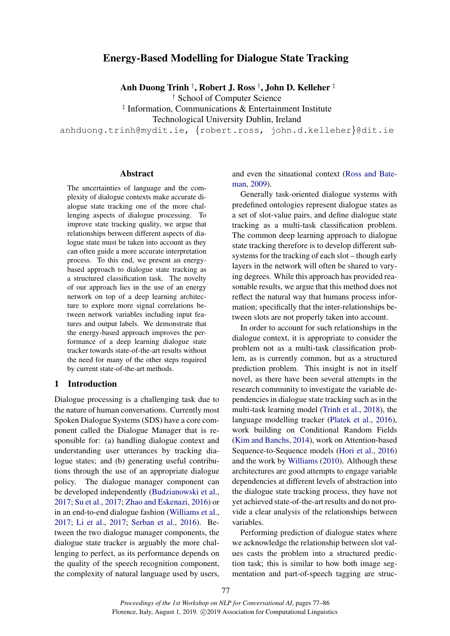# Energy-Based Modelling for Dialogue State Tracking

Anh Duong Trinh † , Robert J. Ross † , John D. Kelleher ‡

† School of Computer Science

‡ Information, Communications & Entertainment Institute

Technological University Dublin, Ireland

anhduong.trinh@mydit.ie, {robert.ross, john.d.kelleher}@dit.ie

#### Abstract

The uncertainties of language and the complexity of dialogue contexts make accurate dialogue state tracking one of the more challenging aspects of dialogue processing. To improve state tracking quality, we argue that relationships between different aspects of dialogue state must be taken into account as they can often guide a more accurate interpretation process. To this end, we present an energybased approach to dialogue state tracking as a structured classification task. The novelty of our approach lies in the use of an energy network on top of a deep learning architecture to explore more signal correlations between network variables including input features and output labels. We demonstrate that the energy-based approach improves the performance of a deep learning dialogue state tracker towards state-of-the-art results without the need for many of the other steps required by current state-of-the-art methods.

### 1 Introduction

Dialogue processing is a challenging task due to the nature of human conversations. Currently most Spoken Dialogue Systems (SDS) have a core component called the Dialogue Manager that is responsible for: (a) handling dialogue context and understanding user utterances by tracking dialogue states; and (b) generating useful contributions through the use of an appropriate dialogue policy. The dialogue manager component can be developed independently [\(Budzianowski et al.,](#page-8-0) [2017;](#page-8-0) [Su et al.,](#page-8-1) [2017;](#page-8-1) [Zhao and Eskenazi,](#page-9-0) [2016\)](#page-9-0) or in an end-to-end dialogue fashion [\(Williams et al.,](#page-9-1) [2017;](#page-9-1) [Li et al.,](#page-8-2) [2017;](#page-8-2) [Serban et al.,](#page-8-3) [2016\)](#page-8-3). Between the two dialogue manager components, the dialogue state tracker is arguably the more challenging to perfect, as its performance depends on the quality of the speech recognition component, the complexity of natural language used by users, and even the situational context [\(Ross and Bate](#page-8-4)[man,](#page-8-4) [2009\)](#page-8-4).

Generally task-oriented dialogue systems with predefined ontologies represent dialogue states as a set of slot-value pairs, and define dialogue state tracking as a multi-task classification problem. The common deep learning approach to dialogue state tracking therefore is to develop different subsystems for the tracking of each slot – though early layers in the network will often be shared to varying degrees. While this approach has provided reasonable results, we argue that this method does not reflect the natural way that humans process information; specifically that the inter-relationships between slots are not properly taken into account.

In order to account for such relationships in the dialogue context, it is appropriate to consider the problem not as a multi-task classification problem, as is currently common, but as a structured prediction problem. This insight is not in itself novel, as there have been several attempts in the research community to investigate the variable dependencies in dialogue state tracking such as in the multi-task learning model [\(Trinh et al.,](#page-8-5) [2018\)](#page-8-5), the language modelling tracker [\(Platek et al.,](#page-8-6) [2016\)](#page-8-6), work building on Conditional Random Fields [\(Kim and Banchs,](#page-8-7) [2014\)](#page-8-7), work on Attention-based Sequence-to-Sequence models [\(Hori et al.,](#page-8-8) [2016\)](#page-8-8) and the work by [Williams](#page-9-2) [\(2010\)](#page-9-2). Although these architectures are good attempts to engage variable dependencies at different levels of abstraction into the dialogue state tracking process, they have not yet achieved state-of-the-art results and do not provide a clear analysis of the relationships between variables.

Performing prediction of dialogue states where we acknowledge the relationship between slot values casts the problem into a structured prediction task; this is similar to how both image segmentation and part-of-speech tagging are struc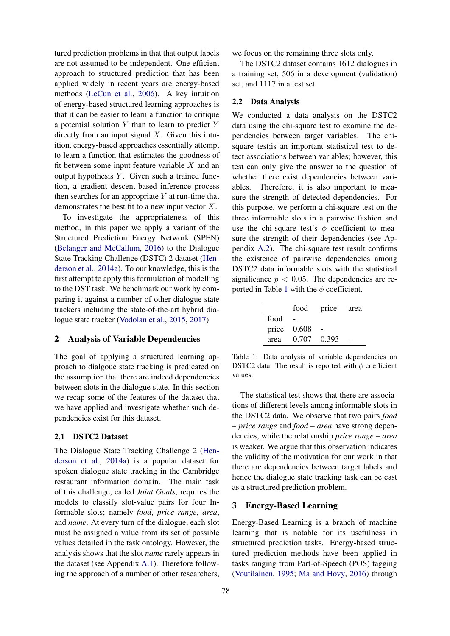tured prediction problems in that that output labels are not assumed to be independent. One efficient approach to structured prediction that has been applied widely in recent years are energy-based methods [\(LeCun et al.,](#page-8-9) [2006\)](#page-8-9). A key intuition of energy-based structured learning approaches is that it can be easier to learn a function to critique a potential solution  $Y$  than to learn to predict  $Y$ directly from an input signal  $X$ . Given this intuition, energy-based approaches essentially attempt to learn a function that estimates the goodness of fit between some input feature variable  $X$  and an output hypothesis  $Y$ . Given such a trained function, a gradient descent-based inference process then searches for an appropriate  $Y$  at run-time that demonstrates the best fit to a new input vector  $X$ .

To investigate the appropriateness of this method, in this paper we apply a variant of the Structured Prediction Energy Network (SPEN) [\(Belanger and McCallum,](#page-7-0) [2016\)](#page-7-0) to the Dialogue State Tracking Challenge (DSTC) 2 dataset [\(Hen](#page-8-10)[derson et al.,](#page-8-10) [2014a\)](#page-8-10). To our knowledge, this is the first attempt to apply this formulation of modelling to the DST task. We benchmark our work by comparing it against a number of other dialogue state trackers including the state-of-the-art hybrid dialogue state tracker [\(Vodolan et al.,](#page-8-11) [2015,](#page-8-11) [2017\)](#page-8-12).

#### 2 Analysis of Variable Dependencies

The goal of applying a structured learning approach to dialgoue state tracking is predicated on the assumption that there are indeed dependencies between slots in the dialogue state. In this section we recap some of the features of the dataset that we have applied and investigate whether such dependencies exist for this dataset.

### 2.1 DSTC2 Dataset

The Dialogue State Tracking Challenge 2 [\(Hen](#page-8-10)[derson et al.,](#page-8-10) [2014a\)](#page-8-10) is a popular dataset for spoken dialogue state tracking in the Cambridge restaurant information domain. The main task of this challenge, called *Joint Goals*, requires the models to classify slot-value pairs for four Informable slots; namely *food*, *price range*, *area*, and *name*. At every turn of the dialogue, each slot must be assigned a value from its set of possible values detailed in the task ontology. However, the analysis shows that the slot *name* rarely appears in the dataset (see Appendix [A.1\)](#page-9-3). Therefore following the approach of a number of other researchers,

we focus on the remaining three slots only.

The DSTC2 dataset contains 1612 dialogues in a training set, 506 in a development (validation) set, and 1117 in a test set.

#### <span id="page-1-1"></span>2.2 Data Analysis

We conducted a data analysis on the DSTC2 data using the chi-square test to examine the dependencies between target variables. The chisquare test;is an important statistical test to detect associations between variables; however, this test can only give the answer to the question of whether there exist dependencies between variables. Therefore, it is also important to measure the strength of detected dependencies. For this purpose, we perform a chi-square test on the three informable slots in a pairwise fashion and use the chi-square test's  $\phi$  coefficient to measure the strength of their dependencies (see Appendix [A.2\)](#page-9-4). The chi-square test result confirms the existence of pairwise dependencies among DSTC2 data informable slots with the statistical significance  $p < 0.05$ . The dependencies are re-ported in Table [1](#page-1-0) with the  $\phi$  coefficient.

<span id="page-1-0"></span>

|      | food        | price area |  |
|------|-------------|------------|--|
| food |             |            |  |
|      | price 0.608 |            |  |
| area | 0.707 0.393 |            |  |

Table 1: Data analysis of variable dependencies on DSTC2 data. The result is reported with  $\phi$  coefficient values.

The statistical test shows that there are associations of different levels among informable slots in the DSTC2 data. We observe that two pairs *food – price range* and *food – area* have strong dependencies, while the relationship *price range – area* is weaker. We argue that this observation indicates the validity of the motivation for our work in that there are dependencies between target labels and hence the dialogue state tracking task can be cast as a structured prediction problem.

#### 3 Energy-Based Learning

Energy-Based Learning is a branch of machine learning that is notable for its usefulness in structured prediction tasks. Energy-based structured prediction methods have been applied in tasks ranging from Part-of-Speech (POS) tagging [\(Voutilainen,](#page-8-13) [1995;](#page-8-13) [Ma and Hovy,](#page-8-14) [2016\)](#page-8-14) through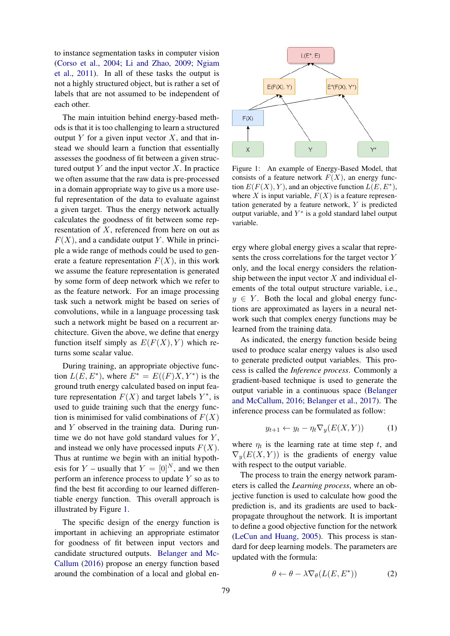to instance segmentation tasks in computer vision [\(Corso et al.,](#page-8-15) [2004;](#page-8-15) [Li and Zhao,](#page-8-16) [2009;](#page-8-16) [Ngiam](#page-8-17) [et al.,](#page-8-17) [2011\)](#page-8-17). In all of these tasks the output is not a highly structured object, but is rather a set of labels that are not assumed to be independent of each other.

The main intuition behind energy-based methods is that it is too challenging to learn a structured output Y for a given input vector  $X$ , and that instead we should learn a function that essentially assesses the goodness of fit between a given structured output  $Y$  and the input vector  $X$ . In practice we often assume that the raw data is pre-processed in a domain appropriate way to give us a more useful representation of the data to evaluate against a given target. Thus the energy network actually calculates the goodness of fit between some representation of X, referenced from here on out as  $F(X)$ , and a candidate output Y. While in principle a wide range of methods could be used to generate a feature representation  $F(X)$ , in this work we assume the feature representation is generated by some form of deep network which we refer to as the feature network. For an image processing task such a network might be based on series of convolutions, while in a language processing task such a network might be based on a recurrent architecture. Given the above, we define that energy function itself simply as  $E(F(X), Y)$  which returns some scalar value.

During training, an appropriate objective function  $L(E, E^*)$ , where  $E^* = E((F)X, Y^*)$  is the ground truth energy calculated based on input feature representation  $F(X)$  and target labels  $Y^*$ , is used to guide training such that the energy function is minimised for valid combinations of  $F(X)$ and Y observed in the training data. During runtime we do not have gold standard values for  $Y$ , and instead we only have processed inputs  $F(X)$ . Thus at runtime we begin with an initial hypothesis for Y – usually that  $Y = [0]^N$ , and we then perform an inference process to update  $Y$  so as to find the best fit according to our learned differentiable energy function. This overall approach is illustrated by Figure [1.](#page-2-0)

The specific design of the energy function is important in achieving an appropriate estimator for goodness of fit between input vectors and candidate structured outputs. [Belanger and Mc-](#page-7-0)[Callum](#page-7-0) [\(2016\)](#page-7-0) propose an energy function based around the combination of a local and global en-

<span id="page-2-0"></span>

Figure 1: An example of Energy-Based Model, that consists of a feature network  $F(X)$ , an energy function  $E(F(X), Y)$ , and an objective function  $L(E, E^*)$ , where X is input variable,  $F(X)$  is a feature representation generated by a feature network,  $Y$  is predicted output variable, and  $Y^*$  is a gold standard label output variable.

ergy where global energy gives a scalar that represents the cross correlations for the target vector Y only, and the local energy considers the relationship between the input vector  $X$  and individual elements of the total output structure variable, i.e.,  $y \in Y$ . Both the local and global energy functions are approximated as layers in a neural network such that complex energy functions may be learned from the training data.

As indicated, the energy function beside being used to produce scalar energy values is also used to generate predicted output variables. This process is called the *Inference process*. Commonly a gradient-based technique is used to generate the output variable in a continuous space [\(Belanger](#page-7-0) [and McCallum,](#page-7-0) [2016;](#page-7-0) [Belanger et al.,](#page-7-1) [2017\)](#page-7-1). The inference process can be formulated as follow:

$$
y_{t+1} \leftarrow y_t - \eta_t \nabla_y (E(X, Y)) \tag{1}
$$

where  $\eta_t$  is the learning rate at time step t, and  $\nabla_{\mathbf{y}}(E(X, Y))$  is the gradients of energy value with respect to the output variable.

The process to train the energy network parameters is called the *Learning process*, where an objective function is used to calculate how good the prediction is, and its gradients are used to backpropagate throughout the network. It is important to define a good objective function for the network [\(LeCun and Huang,](#page-8-18) [2005\)](#page-8-18). This process is standard for deep learning models. The parameters are updated with the formula:

$$
\theta \leftarrow \theta - \lambda \nabla_{\theta} (L(E, E^*)) \tag{2}
$$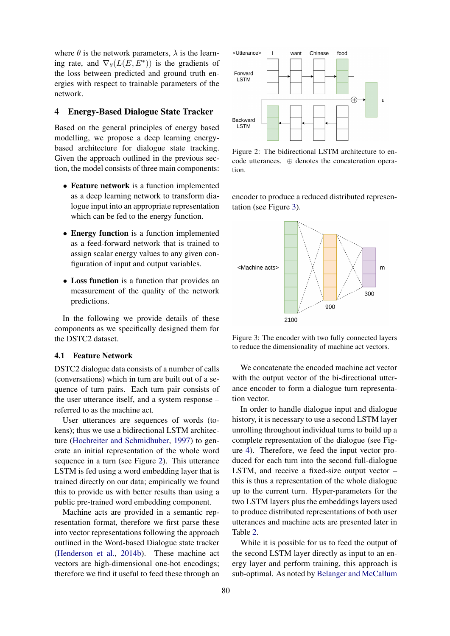where  $\theta$  is the network parameters,  $\lambda$  is the learning rate, and  $\nabla_{\theta}(L(E, E^*))$  is the gradients of the loss between predicted and ground truth energies with respect to trainable parameters of the network.

## 4 Energy-Based Dialogue State Tracker

Based on the general principles of energy based modelling, we propose a deep learning energybased architecture for dialogue state tracking. Given the approach outlined in the previous section, the model consists of three main components:

- Feature network is a function implemented as a deep learning network to transform dialogue input into an appropriate representation which can be fed to the energy function.
- Energy function is a function implemented as a feed-forward network that is trained to assign scalar energy values to any given configuration of input and output variables.
- Loss function is a function that provides an measurement of the quality of the network predictions.

In the following we provide details of these components as we specifically designed them for the DSTC2 dataset.

#### <span id="page-3-2"></span>4.1 Feature Network

DSTC2 dialogue data consists of a number of calls (conversations) which in turn are built out of a sequence of turn pairs. Each turn pair consists of the user utterance itself, and a system response – referred to as the machine act.

User utterances are sequences of words (tokens); thus we use a bidirectional LSTM architecture [\(Hochreiter and Schmidhuber,](#page-8-19) [1997\)](#page-8-19) to generate an initial representation of the whole word sequence in a turn (see Figure [2\)](#page-3-0). This utterance LSTM is fed using a word embedding layer that is trained directly on our data; empirically we found this to provide us with better results than using a public pre-trained word embedding component.

Machine acts are provided in a semantic representation format, therefore we first parse these into vector representations following the approach outlined in the Word-based Dialogue state tracker [\(Henderson et al.,](#page-8-20) [2014b\)](#page-8-20). These machine act vectors are high-dimensional one-hot encodings; therefore we find it useful to feed these through an

<span id="page-3-0"></span>

Figure 2: The bidirectional LSTM architecture to encode utterances. ⊕ denotes the concatenation operation.

encoder to produce a reduced distributed representation (see Figure [3\)](#page-3-1).

<span id="page-3-1"></span>

Figure 3: The encoder with two fully connected layers to reduce the dimensionality of machine act vectors.

We concatenate the encoded machine act vector with the output vector of the bi-directional utterance encoder to form a dialogue turn representation vector.

In order to handle dialogue input and dialogue history, it is necessary to use a second LSTM layer unrolling throughout individual turns to build up a complete representation of the dialogue (see Figure [4\)](#page-4-0). Therefore, we feed the input vector produced for each turn into the second full-dialogue LSTM, and receive a fixed-size output vector – this is thus a representation of the whole dialogue up to the current turn. Hyper-parameters for the two LSTM layers plus the embeddings layers used to produce distributed representations of both user utterances and machine acts are presented later in Table [2.](#page-5-0)

While it is possible for us to feed the output of the second LSTM layer directly as input to an energy layer and perform training, this approach is sub-optimal. As noted by [Belanger and McCallum](#page-7-0)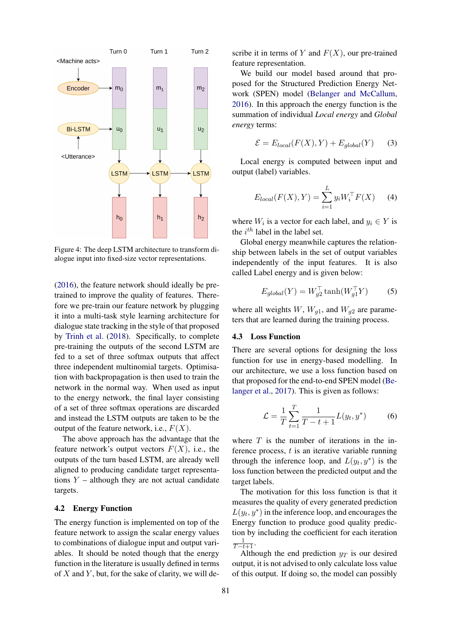<span id="page-4-0"></span>

Figure 4: The deep LSTM architecture to transform dialogue input into fixed-size vector representations.

[\(2016\)](#page-7-0), the feature network should ideally be pretrained to improve the quality of features. Therefore we pre-train our feature network by plugging it into a multi-task style learning architecture for dialogue state tracking in the style of that proposed by [Trinh et al.](#page-8-5) [\(2018\)](#page-8-5). Specifically, to complete pre-training the outputs of the second LSTM are fed to a set of three softmax outputs that affect three independent multinomial targets. Optimisation with backpropagation is then used to train the network in the normal way. When used as input to the energy network, the final layer consisting of a set of three softmax operations are discarded and instead the LSTM outputs are taken to be the output of the feature network, i.e.,  $F(X)$ .

The above approach has the advantage that the feature network's output vectors  $F(X)$ , i.e., the outputs of the turn based LSTM, are already well aligned to producing candidate target representations  $Y$  – although they are not actual candidate targets.

### 4.2 Energy Function

The energy function is implemented on top of the feature network to assign the scalar energy values to combinations of dialogue input and output variables. It should be noted though that the energy function in the literature is usually defined in terms of  $X$  and  $Y$ , but, for the sake of clarity, we will de-

scribe it in terms of Y and  $F(X)$ , our pre-trained feature representation.

We build our model based around that proposed for the Structured Prediction Energy Network (SPEN) model [\(Belanger and McCallum,](#page-7-0) [2016\)](#page-7-0). In this approach the energy function is the summation of individual *Local energy* and *Global energy* terms:

$$
\mathcal{E} = E_{local}(F(X), Y) + E_{global}(Y) \tag{3}
$$

Local energy is computed between input and output (label) variables.

$$
E_{local}(F(X), Y) = \sum_{i=1}^{L} y_i W_i^{\top} F(X)
$$
 (4)

where  $W_i$  is a vector for each label, and  $y_i \in Y$  is the  $i^{th}$  label in the label set.

Global energy meanwhile captures the relationship between labels in the set of output variables independently of the input features. It is also called Label energy and is given below:

$$
E_{global}(Y) = W_{g2}^{\top} \tanh(W_{g1}^{\top} Y) \tag{5}
$$

where all weights  $W$ ,  $W_{g1}$ , and  $W_{g2}$  are parameters that are learned during the training process.

### 4.3 Loss Function

There are several options for designing the loss function for use in energy-based modelling. In our architecture, we use a loss function based on that proposed for the end-to-end SPEN model [\(Be](#page-7-1)[langer et al.,](#page-7-1) [2017\)](#page-7-1). This is given as follows:

$$
\mathcal{L} = \frac{1}{T} \sum_{t=1}^{T} \frac{1}{T - t + 1} L(y_t, y^*)
$$
(6)

where  $T$  is the number of iterations in the inference process,  $t$  is an iterative variable running through the inference loop, and  $L(y_t, y^*)$  is the loss function between the predicted output and the target labels.

The motivation for this loss function is that it measures the quality of every generated prediction  $L(y_t, y^*)$  in the inference loop, and encourages the Energy function to produce good quality prediction by including the coefficient for each iteration  $\frac{1}{T-t+1}$ .

Although the end prediction  $y_T$  is our desired output, it is not advised to only calculate loss value of this output. If doing so, the model can possibly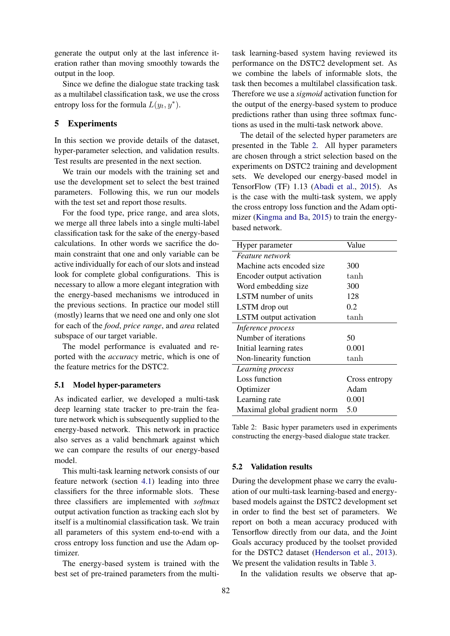generate the output only at the last inference iteration rather than moving smoothly towards the output in the loop.

Since we define the dialogue state tracking task as a multilabel classification task, we use the cross entropy loss for the formula  $L(y_t, y^*)$ .

## 5 Experiments

In this section we provide details of the dataset, hyper-parameter selection, and validation results. Test results are presented in the next section.

We train our models with the training set and use the development set to select the best trained parameters. Following this, we run our models with the test set and report those results.

For the food type, price range, and area slots, we merge all three labels into a single multi-label classification task for the sake of the energy-based calculations. In other words we sacrifice the domain constraint that one and only variable can be active individually for each of our slots and instead look for complete global configurations. This is necessary to allow a more elegant integration with the energy-based mechanisms we introduced in the previous sections. In practice our model still (mostly) learns that we need one and only one slot for each of the *food*, *price range*, and *area* related subspace of our target variable.

The model performance is evaluated and reported with the *accuracy* metric, which is one of the feature metrics for the DSTC2.

### 5.1 Model hyper-parameters

As indicated earlier, we developed a multi-task deep learning state tracker to pre-train the feature network which is subsequently supplied to the energy-based network. This network in practice also serves as a valid benchmark against which we can compare the results of our energy-based model.

This multi-task learning network consists of our feature network (section [4.1\)](#page-3-2) leading into three classifiers for the three informable slots. These three classifiers are implemented with *softmax* output activation function as tracking each slot by itself is a multinomial classification task. We train all parameters of this system end-to-end with a cross entropy loss function and use the Adam optimizer.

The energy-based system is trained with the best set of pre-trained parameters from the multitask learning-based system having reviewed its performance on the DSTC2 development set. As we combine the labels of informable slots, the task then becomes a multilabel classification task. Therefore we use a *sigmoid* activation function for the output of the energy-based system to produce predictions rather than using three softmax functions as used in the multi-task network above.

The detail of the selected hyper parameters are presented in the Table [2.](#page-5-0) All hyper parameters are chosen through a strict selection based on the experiments on DSTC2 training and development sets. We developed our energy-based model in TensorFlow (TF) 1.13 [\(Abadi et al.,](#page-7-2) [2015\)](#page-7-2). As is the case with the multi-task system, we apply the cross entropy loss function and the Adam optimizer [\(Kingma and Ba,](#page-8-21) [2015\)](#page-8-21) to train the energybased network.

<span id="page-5-0"></span>

| Hyper parameter              | Value         |  |
|------------------------------|---------------|--|
| Feature network              |               |  |
| Machine acts encoded size.   | 300           |  |
| Encoder output activation    | tanh          |  |
| Word embedding size          | 300           |  |
| LSTM number of units         | 128           |  |
| LSTM drop out                | 0.2           |  |
| LSTM output activation       | tanh          |  |
| Inference process            |               |  |
| Number of iterations         | 50            |  |
| Initial learning rates       | 0.001         |  |
| Non-linearity function       | tanh          |  |
| Learning process             |               |  |
| Loss function                | Cross entropy |  |
| Optimizer                    | Adam          |  |
| Learning rate                | 0.001         |  |
| Maximal global gradient norm | 5.0           |  |

Table 2: Basic hyper parameters used in experiments constructing the energy-based dialogue state tracker.

### 5.2 Validation results

During the development phase we carry the evaluation of our multi-task learning-based and energybased models against the DSTC2 development set in order to find the best set of parameters. We report on both a mean accuracy produced with Tensorflow directly from our data, and the Joint Goals accuracy produced by the toolset provided for the DSTC2 dataset [\(Henderson et al.,](#page-8-22) [2013\)](#page-8-22). We present the validation results in Table [3.](#page-6-0)

In the validation results we observe that ap-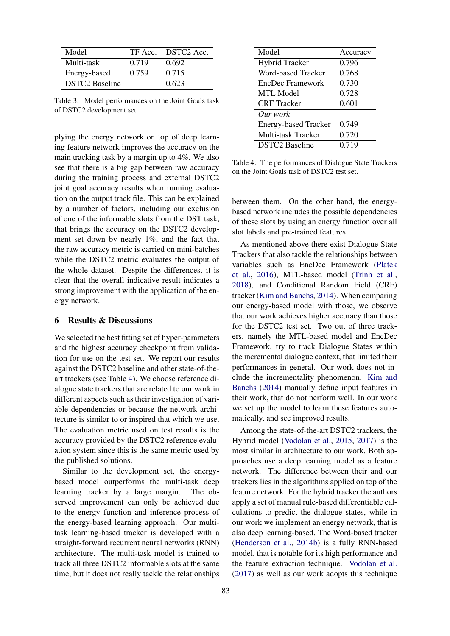<span id="page-6-0"></span>

| Model                 |       | TF Acc. DSTC2 Acc. |
|-----------------------|-------|--------------------|
| Multi-task            | 0.719 | 0.692              |
| Energy-based          | 0.759 | 0.715              |
| <b>DSTC2</b> Baseline |       | 0.623              |

Table 3: Model performances on the Joint Goals task of DSTC2 development set.

plying the energy network on top of deep learning feature network improves the accuracy on the main tracking task by a margin up to 4%. We also see that there is a big gap between raw accuracy during the training process and external DSTC2 joint goal accuracy results when running evaluation on the output track file. This can be explained by a number of factors, including our exclusion of one of the informable slots from the DST task, that brings the accuracy on the DSTC2 development set down by nearly 1%, and the fact that the raw accuracy metric is carried on mini-batches while the DSTC2 metric evaluates the output of the whole dataset. Despite the differences, it is clear that the overall indicative result indicates a strong improvement with the application of the energy network.

## 6 Results & Discussions

We selected the best fitting set of hyper-parameters and the highest accuracy checkpoint from validation for use on the test set. We report our results against the DSTC2 baseline and other state-of-theart trackers (see Table [4\)](#page-6-1). We choose reference dialogue state trackers that are related to our work in different aspects such as their investigation of variable dependencies or because the network architecture is similar to or inspired that which we use. The evaluation metric used on test results is the accuracy provided by the DSTC2 reference evaluation system since this is the same metric used by the published solutions.

Similar to the development set, the energybased model outperforms the multi-task deep learning tracker by a large margin. The observed improvement can only be achieved due to the energy function and inference process of the energy-based learning approach. Our multitask learning-based tracker is developed with a straight-forward recurrent neural networks (RNN) architecture. The multi-task model is trained to track all three DSTC2 informable slots at the same time, but it does not really tackle the relationships

<span id="page-6-1"></span>

| Model                       | Accuracy |
|-----------------------------|----------|
| <b>Hybrid Tracker</b>       | 0.796    |
| Word-based Tracker          | 0.768    |
| EncDec Framework            | 0.730    |
| <b>MTL Model</b>            | 0.728    |
| <b>CRF</b> Tracker          | 0.601    |
| Our work                    |          |
| <b>Energy-based Tracker</b> | 0.749    |
| Multi-task Tracker          | 0.720    |
| <b>DSTC2</b> Baseline       | 0.719    |

Table 4: The performances of Dialogue State Trackers on the Joint Goals task of DSTC2 test set.

between them. On the other hand, the energybased network includes the possible dependencies of these slots by using an energy function over all slot labels and pre-trained features.

As mentioned above there exist Dialogue State Trackers that also tackle the relationships between variables such as EncDec Framework [\(Platek](#page-8-6) [et al.,](#page-8-6) [2016\)](#page-8-6), MTL-based model [\(Trinh et al.,](#page-8-5) [2018\)](#page-8-5), and Conditional Random Field (CRF) tracker [\(Kim and Banchs,](#page-8-7) [2014\)](#page-8-7). When comparing our energy-based model with those, we observe that our work achieves higher accuracy than those for the DSTC2 test set. Two out of three trackers, namely the MTL-based model and EncDec Framework, try to track Dialogue States within the incremental dialogue context, that limited their performances in general. Our work does not include the incrementality phenomenon. [Kim and](#page-8-7) [Banchs](#page-8-7) [\(2014\)](#page-8-7) manually define input features in their work, that do not perform well. In our work we set up the model to learn these features automatically, and see improved results.

Among the state-of-the-art DSTC2 trackers, the Hybrid model [\(Vodolan et al.,](#page-8-11) [2015,](#page-8-11) [2017\)](#page-8-12) is the most similar in architecture to our work. Both approaches use a deep learning model as a feature network. The difference between their and our trackers lies in the algorithms applied on top of the feature network. For the hybrid tracker the authors apply a set of manual rule-based differentiable calculations to predict the dialogue states, while in our work we implement an energy network, that is also deep learning-based. The Word-based tracker [\(Henderson et al.,](#page-8-20) [2014b\)](#page-8-20) is a fully RNN-based model, that is notable for its high performance and the feature extraction technique. [Vodolan et al.](#page-8-12) [\(2017\)](#page-8-12) as well as our work adopts this technique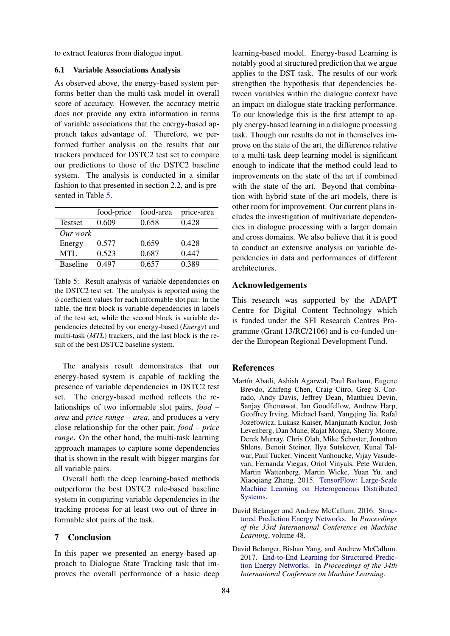to extract features from dialogue input.

### 6.1 Variable Associations Analysis

As observed above, the energy-based system performs better than the multi-task model in overall score of accuracy. However, the accuracy metric does not provide any extra information in terms of variable associations that the energy-based approach takes advantage of. Therefore, we performed further analysis on the results that our trackers produced for DSTC2 test set to compare our predictions to those of the DSTC2 baseline system. The analysis is conducted in a similar fashion to that presented in section [2.2,](#page-1-1) and is presented in Table [5.](#page-7-3)

<span id="page-7-3"></span>

|                 | food-price | food-area | price-area |
|-----------------|------------|-----------|------------|
| <b>Testset</b>  | 0.609      | 0.658     | 0.428      |
| Our work        |            |           |            |
| Energy          | 0.577      | 0.659     | 0.428      |
| MTL             | 0.523      | 0.687     | 0.447      |
| <b>Baseline</b> | 0.497      | 0.657     | 0.389      |

Table 5: Result analysis of variable dependencies on the DSTC2 test set. The analysis is reported using the  $\phi$  coefficient values for each informable slot pair. In the table, the first block is variable dependencies in labels of the test set, while the second block is variable dependencies detected by our energy-based (*Energy*) and multi-task (*MTL*) trackers, and the last block is the result of the best DSTC2 baseline system.

The analysis result demonstrates that our energy-based system is capable of tackling the presence of variable dependencies in DSTC2 test set. The energy-based method reflects the relationships of two informable slot pairs, *food – area* and *price range – area*, and produces a very close relationship for the other pair, *food – price range*. On the other hand, the multi-task learning approach manages to capture some dependencies that is shown in the result with bigger margins for all variable pairs.

Overall both the deep learning-based methods outperform the best DSTC2 rule-based baseline system in comparing variable dependencies in the tracking process for at least two out of three informable slot pairs of the task.

## 7 Conclusion

In this paper we presented an energy-based approach to Dialogue State Tracking task that improves the overall performance of a basic deep

learning-based model. Energy-based Learning is notably good at structured prediction that we argue applies to the DST task. The results of our work strengthen the hypothesis that dependencies between variables within the dialogue context have an impact on dialogue state tracking performance. To our knowledge this is the first attempt to apply energy-based learning in a dialogue processing task. Though our results do not in themselves improve on the state of the art, the difference relative to a multi-task deep learning model is significant enough to indicate that the method could lead to improvements on the state of the art if combined with the state of the art. Beyond that combination with hybrid state-of-the-art models, there is other room for improvement. Our current plans includes the investigation of multivariate dependencies in dialogue processing with a larger domain and cross domains. We also believe that it is good to conduct an extensive analysis on variable dependencies in data and performances of different architectures.

## Acknowledgements

This research was supported by the ADAPT Centre for Digital Content Technology which is funded under the SFI Research Centres Programme (Grant 13/RC/2106) and is co-funded under the European Regional Development Fund.

#### References

- <span id="page-7-2"></span>Martín Abadi, Ashish Agarwal, Paul Barham, Eugene Brevdo, Zhifeng Chen, Craig Citro, Greg S. Corrado, Andy Davis, Jeffrey Dean, Matthieu Devin, Sanjay Ghemawat, Ian Goodfellow, Andrew Harp, Geoffrey Irving, Michael Isard, Yangqing Jia, Rafal Jozefowicz, Lukasz Kaiser, Manjunath Kudlur, Josh Levenberg, Dan Mane, Rajat Monga, Sherry Moore, Derek Murray, Chris Olah, Mike Schuster, Jonathon Shlens, Benoit Steiner, Ilya Sutskever, Kunal Talwar, Paul Tucker, Vincent Vanhoucke, Vijay Vasudevan, Fernanda Viegas, Oriol Vinyals, Pete Warden, Martin Wattenberg, Martin Wicke, Yuan Yu, and Xiaoqiang Zheng. 2015. [TensorFlow: Large-Scale](http://arxiv.org/abs/1603.04467) [Machine Learning on Heterogeneous Distributed](http://arxiv.org/abs/1603.04467) [Systems.](http://arxiv.org/abs/1603.04467)
- <span id="page-7-0"></span>David Belanger and Andrew McCallum. 2016. [Struc](http://arxiv.org/abs/1511.06350)[tured Prediction Energy Networks.](http://arxiv.org/abs/1511.06350) In *Proceedings of the 33rd International Conference on Machine Learning*, volume 48.
- <span id="page-7-1"></span>David Belanger, Bishan Yang, and Andrew McCallum. 2017. [End-to-End Learning for Structured Predic](http://arxiv.org/abs/1703.05667)[tion Energy Networks.](http://arxiv.org/abs/1703.05667) In *Proceedings of the 34th International Conference on Machine Learning*.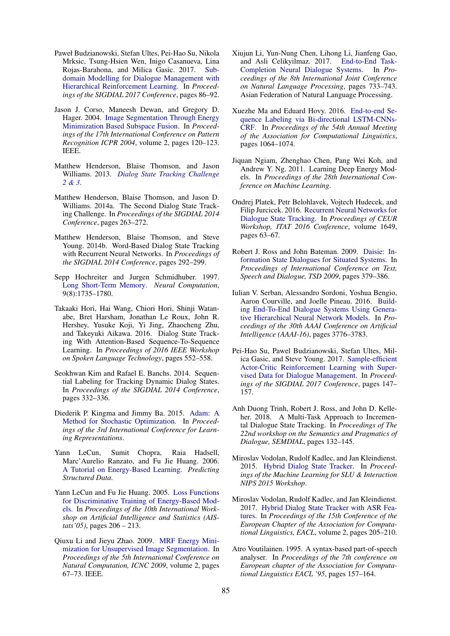- <span id="page-8-0"></span>Paweł Budzianowski, Stefan Ultes, Pei-Hao Su, Nikola Mrksic, Tsung-Hsien Wen, Inigo Casanueva, Lina Rojas-Barahona, and Milica Gasic. 2017. [Sub](http://arxiv.org/abs/1706.06210)[domain Modelling for Dialogue Management with](http://arxiv.org/abs/1706.06210) [Hierarchical Reinforcement Learning.](http://arxiv.org/abs/1706.06210) In *Proceedings of the SIGDIAL 2017 Conference*, pages 86–92.
- <span id="page-8-15"></span>Jason J. Corso, Maneesh Dewan, and Gregory D. Hager. 2004. [Image Segmentation Through Energy](https://doi.org/10.1109/ICPR.2004.1334076) [Minimization Based Subspace Fusion.](https://doi.org/10.1109/ICPR.2004.1334076) In *Proceedings of the 17th International Conference on Pattern Recognition ICPR 2004*, volume 2, pages 120–123. IEEE.
- <span id="page-8-22"></span>Matthew Henderson, Blaise Thomson, and Jason Williams. 2013. *[Dialog State Tracking Challenge](http://camdial.org/{~}mh521/dstc/) [2 & 3](http://camdial.org/{~}mh521/dstc/)*.
- <span id="page-8-10"></span>Matthew Henderson, Blaise Thomson, and Jason D. Williams. 2014a. The Second Dialog State Tracking Challenge. In *Proceedings of the SIGDIAL 2014 Conference*, pages 263–272.
- <span id="page-8-20"></span>Matthew Henderson, Blaise Thomson, and Steve Young. 2014b. Word-Based Dialog State Tracking with Recurrent Neural Networks. In *Proceedings of the SIGDIAL 2014 Conference*, pages 292–299.
- <span id="page-8-19"></span>Sepp Hochreiter and Jurgen Schmidhuber. 1997. [Long Short-Term Memory.](https://doi.org/10.1162/neco.1997.9.8.1735) *Neural Computation*, 9(8):1735–1780.
- <span id="page-8-8"></span>Takaaki Hori, Hai Wang, Chiori Hori, Shinji Watanabe, Bret Harsham, Jonathan Le Roux, John R. Hershey, Yusuke Koji, Yi Jing, Zhaocheng Zhu, and Takeyuki Aikawa. 2016. Dialog State Tracking With Attention-Based Sequence-To-Sequence Learning. In *Proceedings of 2016 IEEE Workshop on Spoken Language Technology*, pages 552–558.
- <span id="page-8-7"></span>Seokhwan Kim and Rafael E. Banchs. 2014. Sequential Labeling for Tracking Dynamic Dialog States. In *Proceedings of the SIGDIAL 2014 Conference*, pages 332–336.
- <span id="page-8-21"></span>Diederik P. Kingma and Jimmy Ba. 2015. [Adam: A](http://arxiv.org/abs/1412.6980) [Method for Stochastic Optimization.](http://arxiv.org/abs/1412.6980) In *Proceedings of the 3rd International Conference for Learning Representations*.
- <span id="page-8-9"></span>Yann LeCun, Sumit Chopra, Raia Hadsell, Marc'Aurelio Ranzato, and Fu Jie Huang. 2006. [A Tutorial on Energy-Based Learning.](https://doi.org/10.1198/tech.2008.s913) *Predicting Structured Data*.
- <span id="page-8-18"></span>Yann LeCun and Fu Jie Huang. 2005. [Loss Functions](http://arxiv.org/abs/arXiv:1011.1669v3) [for Discriminative Training of Energy-Based Mod](http://arxiv.org/abs/arXiv:1011.1669v3)[els.](http://arxiv.org/abs/arXiv:1011.1669v3) In *Proceedings of the 10th International Workshop on Artificial Intelligence and Statistics (AIStats'05)*, pages 206 – 213.
- <span id="page-8-16"></span>Qiuxu Li and Jieyu Zhao. 2009. [MRF Energy Mini](https://doi.org/10.1109/ICNC.2009.354)[mization for Unsupervised Image Segmentation.](https://doi.org/10.1109/ICNC.2009.354) In *Proceedings of the 5th International Conference on Natural Computation, ICNC 2009*, volume 2, pages 67–73. IEEE.
- <span id="page-8-2"></span>Xiujun Li, Yun-Nung Chen, Lihong Li, Jianfeng Gao, and Asli Celikyilmaz. 2017. [End-to-End Task-](http://arxiv.org/abs/1703.01008)[Completion Neural Dialogue Systems.](http://arxiv.org/abs/1703.01008) In *Proceedings of the 8th International Joint Conference on Natural Language Processing*, pages 733–743. Asian Federation of Natural Language Processing.
- <span id="page-8-14"></span>Xuezhe Ma and Eduard Hovy. 2016. [End-to-end Se](http://arxiv.org/abs/1603.01354)[quence Labeling via Bi-directional LSTM-CNNs-](http://arxiv.org/abs/1603.01354)[CRF.](http://arxiv.org/abs/1603.01354) In *Proceedings of the 54th Annual Meeting of the Association for Computational Linguistics*, pages 1064–1074.
- <span id="page-8-17"></span>Jiquan Ngiam, Zhenghao Chen, Pang Wei Koh, and Andrew Y. Ng. 2011. Learning Deep Energy Models. In *Proceedings of the 28th International Conference on Machine Learning*.
- <span id="page-8-6"></span>Ondrej Platek, Petr Belohlavek, Vojtech Hudecek, and Filip Jurcicek. 2016. [Recurrent Neural Networks for](http://arxiv.org/abs/1606.08733) [Dialogue State Tracking.](http://arxiv.org/abs/1606.08733) In *Proceedings of CEUR Workshop, ITAT 2016 Conference*, volume 1649, pages 63–67.
- <span id="page-8-4"></span>Robert J. Ross and John Bateman. 2009. [Daisie: In](https://doi.org/10.1007/978-3-642-04208-9_52)[formation State Dialogues for Situated Systems.](https://doi.org/10.1007/978-3-642-04208-9_52) In *Proceedings of International Conference on Text, Speech and Dialogue, TSD 2009*, pages 379–386.
- <span id="page-8-3"></span>Iulian V. Serban, Alessandro Sordoni, Yoshua Bengio, Aaron Courville, and Joelle Pineau. 2016. [Build](http://arxiv.org/abs/1507.04808)[ing End-To-End Dialogue Systems Using Genera](http://arxiv.org/abs/1507.04808)[tive Hierarchical Neural Network Models.](http://arxiv.org/abs/1507.04808) In *Proceedings of the 30th AAAI Conference on Artificial Intelligence (AAAI-16)*, pages 3776–3783.
- <span id="page-8-1"></span>Pei-Hao Su, Pawel Budzianowski, Stefan Ultes, Milica Gasic, and Steve Young. 2017. [Sample-efficient](http://arxiv.org/abs/1707.00130) [Actor-Critic Reinforcement Learning with Super](http://arxiv.org/abs/1707.00130)[vised Data for Dialogue Management.](http://arxiv.org/abs/1707.00130) In *Proceedings of the SIGDIAL 2017 Conference*, pages 147– 157.
- <span id="page-8-5"></span>Anh Duong Trinh, Robert J. Ross, and John D. Kelleher. 2018. A Multi-Task Approach to Incremental Dialogue State Tracking. In *Proceedings of The 22nd workshop on the Semantics and Pragmatics of Dialogue, SEMDIAL*, pages 132–145.
- <span id="page-8-11"></span>Miroslav Vodolan, Rudolf Kadlec, and Jan Kleindienst. 2015. [Hybrid Dialog State Tracker.](http://arxiv.org/abs/1510.03710) In *Proceedings of the Machine Learning for SLU & Interaction NIPS 2015 Workshop*.
- <span id="page-8-12"></span>Miroslav Vodolan, Rudolf Kadlec, and Jan Kleindienst. 2017. [Hybrid Dialog State Tracker with ASR Fea](http://arxiv.org/abs/arXiv:1702.06336v1)[tures.](http://arxiv.org/abs/arXiv:1702.06336v1) In *Proceedings of the 15th Conference of the European Chapter of the Association for Computational Linguistics, EACL*, volume 2, pages 205–210.
- <span id="page-8-13"></span>Atro Voutilainen. 1995. A syntax-based part-of-speech analyser. In *Proceedings of the 7th conference on European chapter of the Association for Computational Linguistics EACL '95*, pages 157–164.